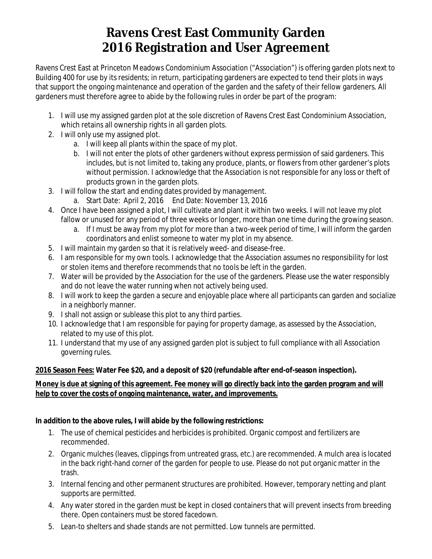# **Ravens Crest East Community Garden 2016 Registration and User Agreement**

Ravens Crest East at Princeton Meadows Condominium Association ("Association") is offering garden plots next to Building 400 for use by its residents; in return, participating gardeners are expected to tend their plots in ways that support the ongoing maintenance and operation of the garden and the safety of their fellow gardeners. All gardeners must therefore agree to abide by the following rules in order be part of the program:

- 1. I will use my assigned garden plot at the sole discretion of Ravens Crest East Condominium Association, which retains all ownership rights in all garden plots.
- 2. I will only use my assigned plot.
	- a. I will keep all plants within the space of my plot.
	- b. I will not enter the plots of other gardeners without express permission of said gardeners. This includes, but is not limited to, taking any produce, plants, or flowers from other gardener's plots without permission. I acknowledge that the Association is not responsible for any loss or theft of products grown in the garden plots.
- 3. I will follow the start and ending dates provided by management.
	- a. Start Date: April 2, 2016 End Date: November 13, 2016
- 4. Once I have been assigned a plot, I will cultivate and plant it within two weeks. I will not leave my plot fallow or unused for any period of three weeks or longer, more than one time during the growing season.
	- a. If I must be away from my plot for more than a two-week period of time, I will inform the garden coordinators and enlist someone to water my plot in my absence.
- 5. I will maintain my garden so that it is relatively weed- and disease-free.
- 6. I am responsible for my own tools. I acknowledge that the Association assumes no responsibility for lost or stolen items and therefore recommends that no tools be left in the garden.
- 7. Water will be provided by the Association for the use of the gardeners. Please use the water responsibly and do not leave the water running when not actively being used.
- 8. I will work to keep the garden a secure and enjoyable place where all participants can garden and socialize in a neighborly manner.
- 9. I shall not assign or sublease this plot to any third parties.
- 10. I acknowledge that I am responsible for paying for property damage, as assessed by the Association, related to my use of this plot.
- 11. I understand that my use of any assigned garden plot is subject to full compliance with all Association governing rules.

### **2016 Season Fees: Water Fee \$20, and a deposit of \$20 (refundable after end-of-season inspection).**

#### **Money is due at signing of this agreement. Fee money will go directly back into the garden program and will help to cover the costs of ongoing maintenance, water, and improvements.**

#### **In addition to the above rules, I will abide by the following restrictions:**

- 1. The use of chemical pesticides and herbicides is prohibited. Organic compost and fertilizers are recommended.
- 2. Organic mulches (leaves, clippings from untreated grass, etc.) are recommended. A mulch area is located in the back right-hand corner of the garden for people to use. Please do not put organic matter in the trash.
- 3. Internal fencing and other permanent structures are prohibited. However, temporary netting and plant supports are permitted.
- 4. Any water stored in the garden must be kept in closed containers that will prevent insects from breeding there. Open containers must be stored facedown.
- 5. Lean-to shelters and shade stands are not permitted. Low tunnels are permitted.